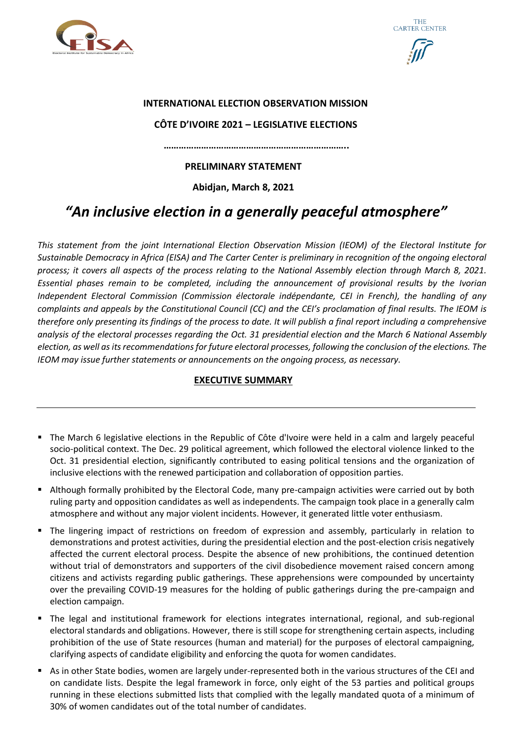





## **INTERNATIONAL ELECTION OBSERVATION MISSION**

## **CÔTE D'IVOIRE 2021 – LEGISLATIVE ELECTIONS**

 **………………………………………………………………..**

## **PRELIMINARY STATEMENT**

**Abidjan, March 8, 2021**

# *"An inclusive election in a generally peaceful atmosphere"*

*This statement from the joint International Election Observation Mission (IEOM) of the Electoral Institute for Sustainable Democracy in Africa (EISA) and The Carter Center is preliminary in recognition of the ongoing electoral process; it covers all aspects of the process relating to the National Assembly election through March 8, 2021. Essential phases remain to be completed, including the announcement of provisional results by the Ivorian Independent Electoral Commission (Commission électorale indépendante, CEI in French), the handling of any complaints and appeals by the Constitutional Council (CC) and the CEI's proclamation of final results. The IEOM is therefore only presenting its findings of the process to date. It will publish a final report including a comprehensive analysis of the electoral processes regarding the Oct. 31 presidential election and the March 6 National Assembly election, as well as its recommendations for future electoral processes, following the conclusion of the elections. The IEOM may issue further statements or announcements on the ongoing process, as necessary.*

# **EXECUTIVE SUMMARY**

- The March 6 legislative elections in the Republic of Côte d'Ivoire were held in a calm and largely peaceful socio-political context. The Dec. 29 political agreement, which followed the electoral violence linked to the Oct. 31 presidential election, significantly contributed to easing political tensions and the organization of inclusive elections with the renewed participation and collaboration of opposition parties.
- Although formally prohibited by the Electoral Code, many pre-campaign activities were carried out by both ruling party and opposition candidates as well as independents. The campaign took place in a generally calm atmosphere and without any major violent incidents. However, it generated little voter enthusiasm.
- The lingering impact of restrictions on freedom of expression and assembly, particularly in relation to demonstrations and protest activities, during the presidential election and the post-election crisis negatively affected the current electoral process. Despite the absence of new prohibitions, the continued detention without trial of demonstrators and supporters of the civil disobedience movement raised concern among citizens and activists regarding public gatherings. These apprehensions were compounded by uncertainty over the prevailing COVID-19 measures for the holding of public gatherings during the pre-campaign and election campaign.
- The legal and institutional framework for elections integrates international, regional, and sub-regional electoral standards and obligations. However, there is still scope for strengthening certain aspects, including prohibition of the use of State resources (human and material) for the purposes of electoral campaigning, clarifying aspects of candidate eligibility and enforcing the quota for women candidates.
- As in other State bodies, women are largely under-represented both in the various structures of the CEI and on candidate lists. Despite the legal framework in force, only eight of the 53 parties and political groups running in these elections submitted lists that complied with the legally mandated quota of a minimum of 30% of women candidates out of the total number of candidates.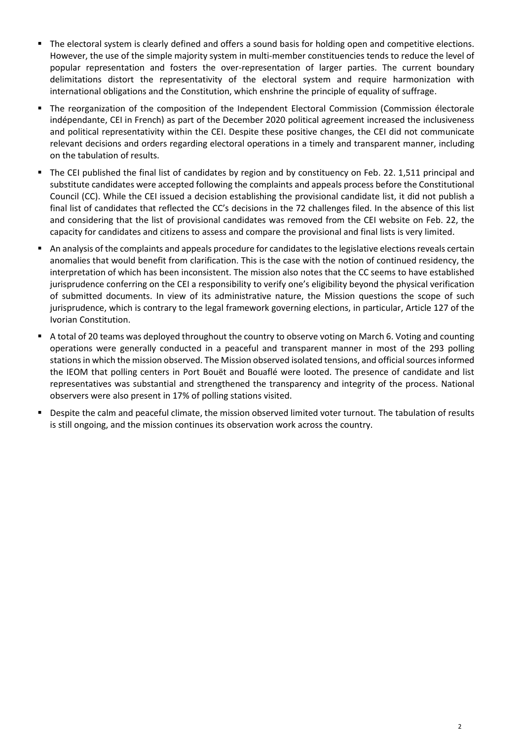- The electoral system is clearly defined and offers a sound basis for holding open and competitive elections. However, the use of the simple majority system in multi-member constituencies tends to reduce the level of popular representation and fosters the over-representation of larger parties. The current boundary delimitations distort the representativity of the electoral system and require harmonization with international obligations and the Constitution, which enshrine the principle of equality of suffrage.
- The reorganization of the composition of the Independent Electoral Commission (Commission électorale indépendante, CEI in French) as part of the December 2020 political agreement increased the inclusiveness and political representativity within the CEI. Despite these positive changes, the CEI did not communicate relevant decisions and orders regarding electoral operations in a timely and transparent manner, including on the tabulation of results.
- The CEI published the final list of candidates by region and by constituency on Feb. 22. 1,511 principal and substitute candidates were accepted following the complaints and appeals process before the Constitutional Council (CC). While the CEI issued a decision establishing the provisional candidate list, it did not publish a final list of candidates that reflected the CC's decisions in the 72 challenges filed. In the absence of this list and considering that the list of provisional candidates was removed from the CEI website on Feb. 22, the capacity for candidates and citizens to assess and compare the provisional and final lists is very limited.
- An analysis of the complaints and appeals procedure for candidates to the legislative elections reveals certain anomalies that would benefit from clarification. This is the case with the notion of continued residency, the interpretation of which has been inconsistent. The mission also notes that the CC seems to have established jurisprudence conferring on the CEI a responsibility to verify one's eligibility beyond the physical verification of submitted documents. In view of its administrative nature, the Mission questions the scope of such jurisprudence, which is contrary to the legal framework governing elections, in particular, Article 127 of the Ivorian Constitution.
- A total of 20 teams was deployed throughout the country to observe voting on March 6. Voting and counting operations were generally conducted in a peaceful and transparent manner in most of the 293 polling stations in which the mission observed. The Mission observed isolated tensions, and official sources informed the IEOM that polling centers in Port Bouët and Bouaflé were looted. The presence of candidate and list representatives was substantial and strengthened the transparency and integrity of the process. National observers were also present in 17% of polling stations visited.
- Despite the calm and peaceful climate, the mission observed limited voter turnout. The tabulation of results is still ongoing, and the mission continues its observation work across the country.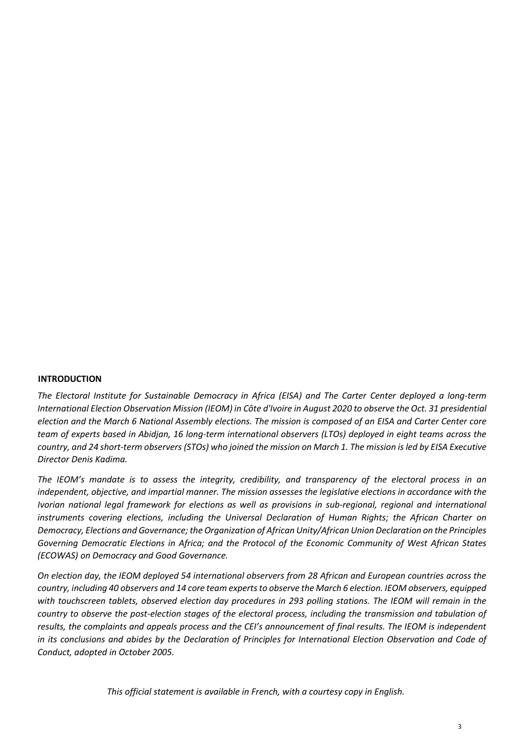#### **INTRODUCTION**

*The Electoral Institute for Sustainable Democracy in Africa (EISA) and The Carter Center deployed a long-term International Election Observation Mission (IEOM) in Côte d'Ivoire in August 2020 to observe the Oct. 31 presidential election and the March 6 National Assembly elections. The mission is composed of an EISA and Carter Center core team of experts based in Abidjan, 16 long-term international observers (LTOs) deployed in eight teams across the country, and 24 short-term observers (STOs) who joined the mission on March 1. The mission is led by EISA Executive Director Denis Kadima.*

*The IEOM's mandate is to assess the integrity, credibility, and transparency of the electoral process in an independent, objective, and impartial manner. The mission assesses the legislative elections in accordance with the Ivorian national legal framework for elections as well as provisions in sub-regional, regional and international instruments covering elections, including the Universal Declaration of Human Rights; the African Charter on Democracy, Elections and Governance; the Organization of African Unity/African Union Declaration on the Principles Governing Democratic Elections in Africa; and the Protocol of the Economic Community of West African States (ECOWAS) on Democracy and Good Governance.*

*On election day, the IEOM deployed 54 international observers from 28 African and European countries across the country, including 40 observers and 14 core team experts to observe the March 6 election. IEOM observers, equipped with touchscreen tablets, observed election day procedures in 293 polling stations. The IEOM will remain in the country to observe the post-election stages of the electoral process, including the transmission and tabulation of results, the complaints and appeals process and the CEI's announcement of final results. The IEOM is independent*  in its conclusions and abides by the Declaration of Principles for International Election Observation and Code of *Conduct, adopted in October 2005.*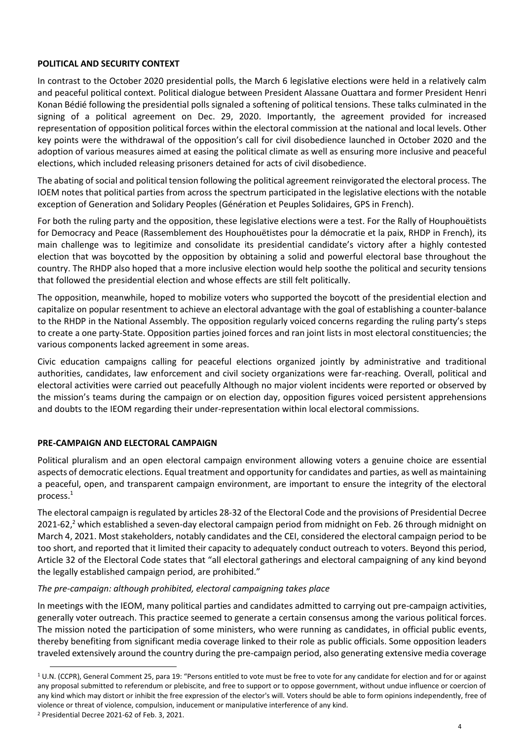#### **POLITICAL AND SECURITY CONTEXT**

In contrast to the October 2020 presidential polls, the March 6 legislative elections were held in a relatively calm and peaceful political context. Political dialogue between President Alassane Ouattara and former President Henri Konan Bédié following the presidential polls signaled a softening of political tensions. These talks culminated in the signing of a political agreement on Dec. 29, 2020. Importantly, the agreement provided for increased representation of opposition political forces within the electoral commission at the national and local levels. Other key points were the withdrawal of the opposition's call for civil disobedience launched in October 2020 and the adoption of various measures aimed at easing the political climate as well as ensuring more inclusive and peaceful elections, which included releasing prisoners detained for acts of civil disobedience.

The abating of social and political tension following the political agreement reinvigorated the electoral process. The IOEM notes that political parties from across the spectrum participated in the legislative elections with the notable exception of Generation and Solidary Peoples (Génération et Peuples Solidaires, GPS in French).

For both the ruling party and the opposition, these legislative elections were a test. For the Rally of Houphouëtists for Democracy and Peace (Rassemblement des Houphouëtistes pour la démocratie et la paix, RHDP in French), its main challenge was to legitimize and consolidate its presidential candidate's victory after a highly contested election that was boycotted by the opposition by obtaining a solid and powerful electoral base throughout the country. The RHDP also hoped that a more inclusive election would help soothe the political and security tensions that followed the presidential election and whose effects are still felt politically.

The opposition, meanwhile, hoped to mobilize voters who supported the boycott of the presidential election and capitalize on popular resentment to achieve an electoral advantage with the goal of establishing a counter-balance to the RHDP in the National Assembly. The opposition regularly voiced concerns regarding the ruling party's steps to create a one party-State. Opposition parties joined forces and ran joint lists in most electoral constituencies; the various components lacked agreement in some areas.

Civic education campaigns calling for peaceful elections organized jointly by administrative and traditional authorities, candidates, law enforcement and civil society organizations were far-reaching. Overall, political and electoral activities were carried out peacefully Although no major violent incidents were reported or observed by the mission's teams during the campaign or on election day, opposition figures voiced persistent apprehensions and doubts to the IEOM regarding their under-representation within local electoral commissions.

## **PRE-CAMPAIGN AND ELECTORAL CAMPAIGN**

Political pluralism and an open electoral campaign environment allowing voters a genuine choice are essential aspects of democratic elections. Equal treatment and opportunity for candidates and parties, as well as maintaining a peaceful, open, and transparent campaign environment, are important to ensure the integrity of the electoral process. 1

The electoral campaign is regulated by articles 28-32 of the Electoral Code and the provisions of Presidential Decree 2021-62,<sup>2</sup> which established a seven-day electoral campaign period from midnight on Feb. 26 through midnight on March 4, 2021. Most stakeholders, notably candidates and the CEI, considered the electoral campaign period to be too short, and reported that it limited their capacity to adequately conduct outreach to voters. Beyond this period, Article 32 of the Electoral Code states that "all electoral gatherings and electoral campaigning of any kind beyond the legally established campaign period, are prohibited."

#### *The pre-campaign: although prohibited, electoral campaigning takes place*

In meetings with the IEOM, many political parties and candidates admitted to carrying out pre-campaign activities, generally voter outreach. This practice seemed to generate a certain consensus among the various political forces. The mission noted the participation of some ministers, who were running as candidates, in official public events, thereby benefiting from significant media coverage linked to their role as public officials. Some opposition leaders traveled extensively around the country during the pre-campaign period, also generating extensive media coverage

<sup>&</sup>lt;sup>1</sup> U.N. (CCPR), General Comment 25, para 19: "Persons entitled to vote must be free to vote for any candidate for election and for or against any proposal submitted to referendum or plebiscite, and free to support or to oppose government, without undue influence or coercion of any kind which may distort or inhibit the free expression of the elector's will. Voters should be able to form opinions independently, free of violence or threat of violence, compulsion, inducement or manipulative interference of any kind.

<sup>2</sup> Presidential Decree 2021-62 of Feb. 3, 2021.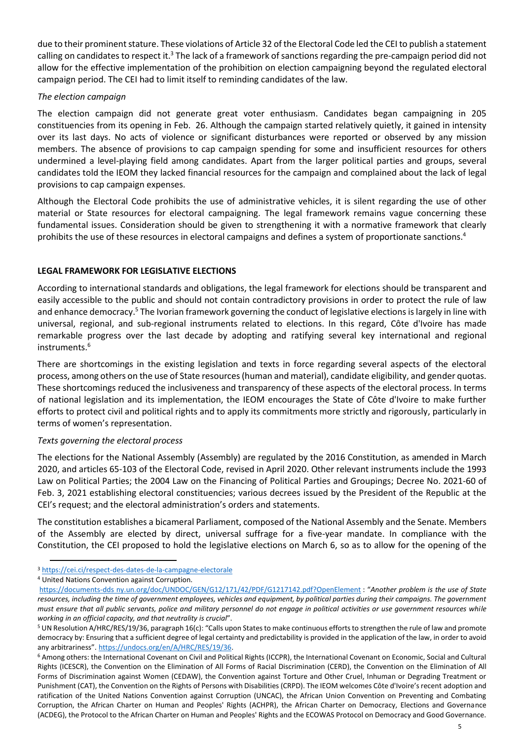due to their prominent stature. These violations of Article 32 of the Electoral Code led the CEI to publish a statement calling on candidates to respect it.<sup>3</sup> The lack of a framework of sanctions regarding the pre-campaign period did not allow for the effective implementation of the prohibition on election campaigning beyond the regulated electoral campaign period. The CEI had to limit itself to reminding candidates of the law.

#### *The election campaign*

The election campaign did not generate great voter enthusiasm. Candidates began campaigning in 205 constituencies from its opening in Feb. 26. Although the campaign started relatively quietly, it gained in intensity over its last days. No acts of violence or significant disturbances were reported or observed by any mission members. The absence of provisions to cap campaign spending for some and insufficient resources for others undermined a level-playing field among candidates. Apart from the larger political parties and groups, several candidates told the IEOM they lacked financial resources for the campaign and complained about the lack of legal provisions to cap campaign expenses.

Although the Electoral Code prohibits the use of administrative vehicles, it is silent regarding the use of other material or State resources for electoral campaigning. The legal framework remains vague concerning these fundamental issues. Consideration should be given to strengthening it with a normative framework that clearly prohibits the use of these resources in electoral campaigns and defines a system of proportionate sanctions.<sup>4</sup>

## **LEGAL FRAMEWORK FOR LEGISLATIVE ELECTIONS**

According to international standards and obligations, the legal framework for elections should be transparent and easily accessible to the public and should not contain contradictory provisions in order to protect the rule of law and enhance democracy.<sup>5</sup> The Ivorian framework governing the conduct of legislative elections is largely in line with universal, regional, and sub-regional instruments related to elections. In this regard, Côte d'Ivoire has made remarkable progress over the last decade by adopting and ratifying several key international and regional instruments. 6

There are shortcomings in the existing legislation and texts in force regarding several aspects of the electoral process, among others on the use of State resources (human and material), candidate eligibility, and gender quotas. These shortcomings reduced the inclusiveness and transparency of these aspects of the electoral process. In terms of national legislation and its implementation, the IEOM encourages the State of Côte d'Ivoire to make further efforts to protect civil and political rights and to apply its commitments more strictly and rigorously, particularly in terms of women's representation.

#### *Texts governing the electoral process*

The elections for the National Assembly (Assembly) are regulated by the 2016 Constitution, as amended in March 2020, and articles 65-103 of the Electoral Code, revised in April 2020. Other relevant instruments include the 1993 Law on Political Parties; the 2004 Law on the Financing of Political Parties and Groupings; Decree No. 2021-60 of Feb. 3, 2021 establishing electoral constituencies; various decrees issued by the President of the Republic at the CEI's request; and the electoral administration's orders and statements.

The constitution establishes a bicameral Parliament, composed of the National Assembly and the Senate. Members of the Assembly are elected by direct, universal suffrage for a five-year mandate. In compliance with the Constitution, the CEI proposed to hold the legislative elections on March 6, so as to allow for the opening of the

<sup>3</sup> <https://cei.ci/respect-des-dates-de-la-campagne-electorale>

<sup>4</sup> United Nations Convention against Corruption.

https://documents-dds ny.un.org/doc/UNDOC/GEN/G12/171/42/PDF/G1217142.pdf?OpenElement : "*Another problem is the use of State resources, including the time of government employees, vehicles and equipment, by political parties during their campaigns. The government must ensure that all public servants, police and military personnel do not engage in political activities or use government resources while working in an official capacity, and that neutrality is crucial*".

<sup>5</sup> UN Resolution A/HRC/RES/19/36, paragraph 16(c): "Calls upon States to make continuous efforts to strengthen the rule of law and promote democracy by: Ensuring that a sufficient degree of legal certainty and predictability is provided in the application of the law, in order to avoid any arbitrariness". [https://undocs.org/en/A/HRC/RES/19/36.](https://undocs.org/en/A/HRC/RES/19/36)

<sup>6</sup> Among others: the International Covenant on Civil and Political Rights (ICCPR), the International Covenant on Economic, Social and Cultural Rights (ICESCR), the Convention on the Elimination of All Forms of Racial Discrimination (CERD), the Convention on the Elimination of All Forms of Discrimination against Women (CEDAW), the Convention against Torture and Other Cruel, Inhuman or Degrading Treatment or Punishment (CAT), the Convention on the Rights of Persons with Disabilities (CRPD). The IEOM welcomes Côte d'Ivoire's recent adoption and ratification of the United Nations Convention against Corruption (UNCAC), the African Union Convention on Preventing and Combating Corruption, the African Charter on Human and Peoples' Rights (ACHPR), the African Charter on Democracy, Elections and Governance (ACDEG), the Protocol to the African Charter on Human and Peoples' Rights and the ECOWAS Protocol on Democracy and Good Governance.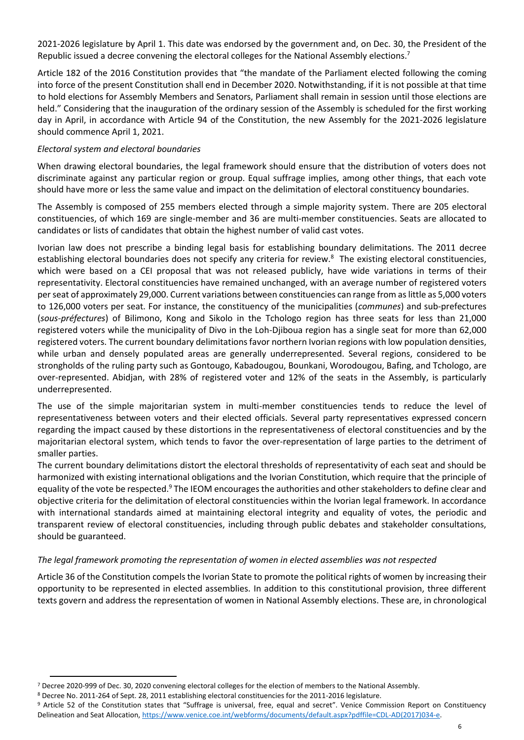2021-2026 legislature by April 1. This date was endorsed by the government and, on Dec. 30, the President of the Republic issued a decree convening the electoral colleges for the National Assembly elections.<sup>7</sup>

Article 182 of the 2016 Constitution provides that "the mandate of the Parliament elected following the coming into force of the present Constitution shall end in December 2020. Notwithstanding, if it is not possible at that time to hold elections for Assembly Members and Senators, Parliament shall remain in session until those elections are held." Considering that the inauguration of the ordinary session of the Assembly is scheduled for the first working day in April, in accordance with Article 94 of the Constitution, the new Assembly for the 2021-2026 legislature should commence April 1, 2021.

#### *Electoral system and electoral boundaries*

When drawing electoral boundaries, the legal framework should ensure that the distribution of voters does not discriminate against any particular region or group. Equal suffrage implies, among other things, that each vote should have more or less the same value and impact on the delimitation of electoral constituency boundaries.

The Assembly is composed of 255 members elected through a simple majority system. There are 205 electoral constituencies, of which 169 are single-member and 36 are multi-member constituencies. Seats are allocated to candidates or lists of candidates that obtain the highest number of valid cast votes.

Ivorian law does not prescribe a binding legal basis for establishing boundary delimitations. The 2011 decree establishing electoral boundaries does not specify any criteria for review.<sup>8</sup> The existing electoral constituencies, which were based on a CEI proposal that was not released publicly, have wide variations in terms of their representativity. Electoral constituencies have remained unchanged, with an average number of registered voters per seat of approximately 29,000. Current variations between constituencies can range from as little as 5,000 voters to 126,000 voters per seat. For instance, the constituency of the municipalities (*communes*) and sub-prefectures (*sous-préfectures*) of Bilimono, Kong and Sikolo in the Tchologo region has three seats for less than 21,000 registered voters while the municipality of Divo in the Loh-Djiboua region has a single seat for more than 62,000 registered voters. The current boundary delimitations favor northern Ivorian regions with low population densities, while urban and densely populated areas are generally underrepresented. Several regions, considered to be strongholds of the ruling party such as Gontougo, Kabadougou, Bounkani, Worodougou, Bafing, and Tchologo, are over-represented. Abidjan, with 28% of registered voter and 12% of the seats in the Assembly, is particularly underrepresented.

The use of the simple majoritarian system in multi-member constituencies tends to reduce the level of representativeness between voters and their elected officials. Several party representatives expressed concern regarding the impact caused by these distortions in the representativeness of electoral constituencies and by the majoritarian electoral system, which tends to favor the over-representation of large parties to the detriment of smaller parties.

The current boundary delimitations distort the electoral thresholds of representativity of each seat and should be harmonized with existing international obligations and the Ivorian Constitution, which require that the principle of equality of the vote be respected.<sup>9</sup> The IEOM encourages the authorities and other stakeholders to define clear and objective criteria for the delimitation of electoral constituencies within the Ivorian legal framework. In accordance with international standards aimed at maintaining electoral integrity and equality of votes, the periodic and transparent review of electoral constituencies, including through public debates and stakeholder consultations, should be guaranteed.

#### *The legal framework promoting the representation of women in elected assemblies was not respected*

Article 36 of the Constitution compels the Ivorian State to promote the political rights of women by increasing their opportunity to be represented in elected assemblies. In addition to this constitutional provision, three different texts govern and address the representation of women in National Assembly elections. These are, in chronological

<sup>7</sup> Decree 2020-999 of Dec. 30, 2020 convening electoral colleges for the election of members to the National Assembly.

<sup>8</sup> Decree No. 2011-264 of Sept. 28, 2011 establishing electoral constituencies for the 2011-2016 legislature.

<sup>9</sup> Article 52 of the Constitution states that "Suffrage is universal, free, equal and secret". Venice Commission Report on Constituency Delineation and Seat Allocation, [https://www.venice.coe.int/webforms/documents/default.aspx?pdffile=CDL-AD\(2017\)034-e.](https://www.venice.coe.int/webforms/documents/default.aspx?pdffile=CDL-AD(2017)034-e)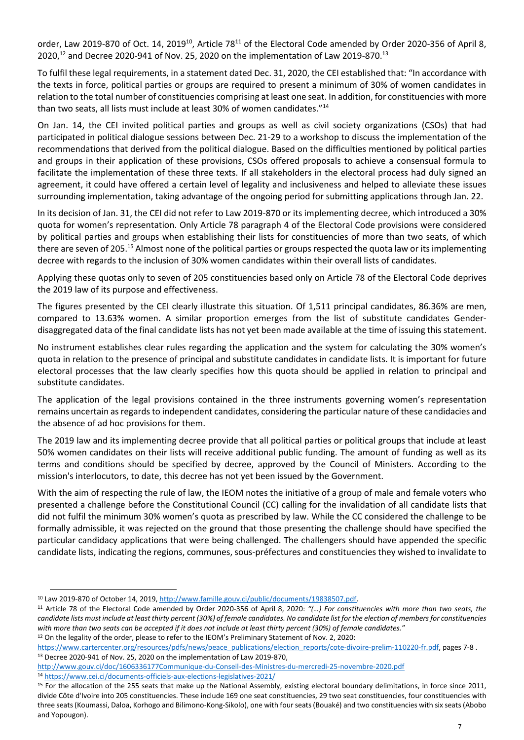order, Law 2019-870 of Oct. 14, 2019<sup>10</sup>, Article 78<sup>11</sup> of the Electoral Code amended by Order 2020-356 of April 8, 2020,<sup>12</sup> and Decree 2020-941 of Nov. 25, 2020 on the implementation of Law 2019-870.<sup>13</sup>

To fulfil these legal requirements, in a statement dated Dec. 31, 2020, the CEI established that: "In accordance with the texts in force, political parties or groups are required to present a minimum of 30% of women candidates in relation to the total number of constituencies comprising at least one seat. In addition, for constituencies with more than two seats, all lists must include at least 30% of women candidates."<sup>14</sup>

On Jan. 14, the CEI invited political parties and groups as well as civil society organizations (CSOs) that had participated in political dialogue sessions between Dec. 21-29 to a workshop to discuss the implementation of the recommendations that derived from the political dialogue. Based on the difficulties mentioned by political parties and groups in their application of these provisions, CSOs offered proposals to achieve a consensual formula to facilitate the implementation of these three texts. If all stakeholders in the electoral process had duly signed an agreement, it could have offered a certain level of legality and inclusiveness and helped to alleviate these issues surrounding implementation, taking advantage of the ongoing period for submitting applications through Jan. 22.

In its decision of Jan. 31, the CEI did not refer to Law 2019-870 or its implementing decree, which introduced a 30% quota for women's representation. Only Article 78 paragraph 4 of the Electoral Code provisions were considered by political parties and groups when establishing their lists for constituencies of more than two seats, of which there are seven of 205.<sup>15</sup> Almost none of the political parties or groups respected the quota law or its implementing decree with regards to the inclusion of 30% women candidates within their overall lists of candidates.

Applying these quotas only to seven of 205 constituencies based only on Article 78 of the Electoral Code deprives the 2019 law of its purpose and effectiveness.

The figures presented by the CEI clearly illustrate this situation. Of 1,511 principal candidates, 86.36% are men, compared to 13.63% women. A similar proportion emerges from the list of substitute candidates Genderdisaggregated data of the final candidate lists has not yet been made available at the time of issuing this statement.

No instrument establishes clear rules regarding the application and the system for calculating the 30% women's quota in relation to the presence of principal and substitute candidates in candidate lists. It is important for future electoral processes that the law clearly specifies how this quota should be applied in relation to principal and substitute candidates.

The application of the legal provisions contained in the three instruments governing women's representation remains uncertain as regards to independent candidates, considering the particular nature of these candidacies and the absence of ad hoc provisions for them.

The 2019 law and its implementing decree provide that all political parties or political groups that include at least 50% women candidates on their lists will receive additional public funding. The amount of funding as well as its terms and conditions should be specified by decree, approved by the Council of Ministers. According to the mission's interlocutors, to date, this decree has not yet been issued by the Government.

With the aim of respecting the rule of law, the IEOM notes the initiative of a group of male and female voters who presented a challenge before the Constitutional Council (CC) calling for the invalidation of all candidate lists that did not fulfil the minimum 30% women's quota as prescribed by law. While the CC considered the challenge to be formally admissible, it was rejected on the ground that those presenting the challenge should have specified the particular candidacy applications that were being challenged. The challengers should have appended the specific candidate lists, indicating the regions, communes, sous-préfectures and constituencies they wished to invalidate to

<sup>10</sup> Law 2019-870 of October 14, 2019[, http://www.famille.gouv.ci/public/documents/19838507.pdf.](http://www.famille.gouv.ci/public/documents/19838507.pdf) 

<sup>11</sup> Article 78 of the Electoral Code amended by Order 2020-356 of April 8, 2020: *"(…) For constituencies with more than two seats, the candidate lists must include at least thirty percent (30%) of female candidates. No candidate list for the election of members for constituencies with more than two seats can be accepted if it does not include at least thirty percent (30%) of female candidates.*"

<sup>12</sup> On the legality of the order, please to refer to the IEOM's Preliminary Statement of Nov. 2, 2020:

[https://www.cartercenter.org/resources/pdfs/news/peace\\_publications/election\\_reports/cote-divoire-prelim-110220-fr.pdf,](https://www.cartercenter.org/resources/pdfs/news/peace_publications/election_reports/cote-divoire-prelim-110220-fr.pdf) pages 7-8 . <sup>13</sup> Decree 2020-941 of Nov. 25, 2020 on the implementation of Law 2019-870,

<http://www.gouv.ci/doc/1606336177Communique-du-Conseil-des-Ministres-du-mercredi-25-novembre-2020.pdf> <sup>14</sup> <https://www.cei.ci/documents-officiels-aux-elections-legislatives-2021/>

<sup>&</sup>lt;sup>15</sup> For the allocation of the 255 seats that make up the National Assembly, existing electoral boundary delimitations, in force since 2011, divide Côte d'Ivoire into 205 constituencies. These include 169 one seat constituencies, 29 two seat constituencies, four constituencies with three seats (Koumassi, Daloa, Korhogo and Bilimono-Kong-Sikolo), one with four seats (Bouaké) and two constituencies with six seats (Abobo and Yopougon).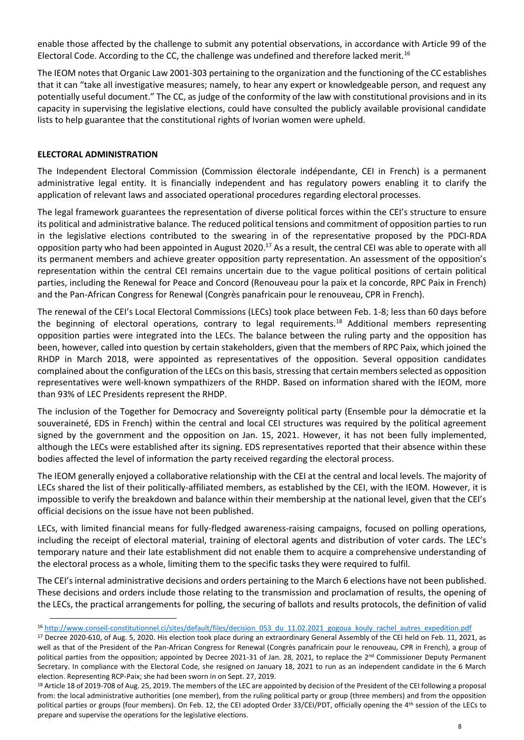enable those affected by the challenge to submit any potential observations, in accordance with Article 99 of the Electoral Code. According to the CC, the challenge was undefined and therefore lacked merit.<sup>16</sup>

The IEOM notes that Organic Law 2001-303 pertaining to the organization and the functioning of the CC establishes that it can "take all investigative measures; namely, to hear any expert or knowledgeable person, and request any potentially useful document." The CC, as judge of the conformity of the law with constitutional provisions and in its capacity in supervising the legislative elections, could have consulted the publicly available provisional candidate lists to help guarantee that the constitutional rights of Ivorian women were upheld.

## **ELECTORAL ADMINISTRATION**

The Independent Electoral Commission (Commission électorale indépendante, CEI in French) is a permanent administrative legal entity. It is financially independent and has regulatory powers enabling it to clarify the application of relevant laws and associated operational procedures regarding electoral processes.

The legal framework guarantees the representation of diverse political forces within the CEI's structure to ensure its political and administrative balance. The reduced political tensions and commitment of opposition parties to run in the legislative elections contributed to the swearing in of the representative proposed by the PDCI-RDA opposition party who had been appointed in August 2020.<sup>17</sup> As a result, the central CEI was able to operate with all its permanent members and achieve greater opposition party representation. An assessment of the opposition's representation within the central CEI remains uncertain due to the vague political positions of certain political parties, including the Renewal for Peace and Concord (Renouveau pour la paix et la concorde, RPC Paix in French) and the Pan-African Congress for Renewal (Congrès panafricain pour le renouveau, CPR in French).

The renewal of the CEI's Local Electoral Commissions (LECs) took place between Feb. 1-8; less than 60 days before the beginning of electoral operations, contrary to legal requirements.<sup>18</sup> Additional members representing opposition parties were integrated into the LECs. The balance between the ruling party and the opposition has been, however, called into question by certain stakeholders, given that the members of RPC Paix, which joined the RHDP in March 2018, were appointed as representatives of the opposition. Several opposition candidates complained about the configuration of the LECs on this basis, stressing that certain members selected as opposition representatives were well-known sympathizers of the RHDP. Based on information shared with the IEOM, more than 93% of LEC Presidents represent the RHDP.

The inclusion of the Together for Democracy and Sovereignty political party (Ensemble pour la démocratie et la souveraineté, EDS in French) within the central and local CEI structures was required by the political agreement signed by the government and the opposition on Jan. 15, 2021. However, it has not been fully implemented, although the LECs were established after its signing. EDS representatives reported that their absence within these bodies affected the level of information the party received regarding the electoral process.

The IEOM generally enjoyed a collaborative relationship with the CEI at the central and local levels. The majority of LECs shared the list of their politically-affiliated members, as established by the CEI, with the IEOM. However, it is impossible to verify the breakdown and balance within their membership at the national level, given that the CEI's official decisions on the issue have not been published.

LECs, with limited financial means for fully-fledged awareness-raising campaigns, focused on polling operations, including the receipt of electoral material, training of electoral agents and distribution of voter cards. The LEC's temporary nature and their late establishment did not enable them to acquire a comprehensive understanding of the electoral process as a whole, limiting them to the specific tasks they were required to fulfil.

The CEI's internal administrative decisions and orders pertaining to the March 6 elections have not been published. These decisions and orders include those relating to the transmission and proclamation of results, the opening of the LECs, the practical arrangements for polling, the securing of ballots and results protocols, the definition of valid

<sup>16</sup> [http://www.conseil-constitutionnel.ci/sites/default/files/decision\\_053\\_du\\_11.02.2021\\_gogoua\\_kouly\\_rachel\\_autres\\_expedition.pdf](http://www.conseil-constitutionnel.ci/sites/default/files/decision_053_du_11.02.2021_gogoua_kouly_rachel_autres_expedition.pdf)

<sup>&</sup>lt;sup>17</sup> Decree 2020-610, of Aug. 5, 2020. His election took place during an extraordinary General Assembly of the CEI held on Feb. 11, 2021, as well as that of the President of the Pan-African Congress for Renewal (Congrès panafricain pour le renouveau, CPR in French), a group of political parties from the opposition; appointed by Decree 2021-31 of Jan. 28, 2021, to replace the 2<sup>nd</sup> Commissioner Deputy Permanent Secretary. In compliance with the Electoral Code, she resigned on January 18, 2021 to run as an independent candidate in the 6 March election. Representing RCP-Paix; she had been sworn in on Sept. 27, 2019.

<sup>&</sup>lt;sup>18</sup> Article 18 of 2019-708 of Aug. 25, 2019. The members of the LEC are appointed by decision of the President of the CEI following a proposal from: the local administrative authorities (one member), from the ruling political party or group (three members) and from the opposition political parties or groups (four members). On Feb. 12, the CEI adopted Order 33/CEI/PDT, officially opening the 4<sup>th</sup> session of the LECs to prepare and supervise the operations for the legislative elections.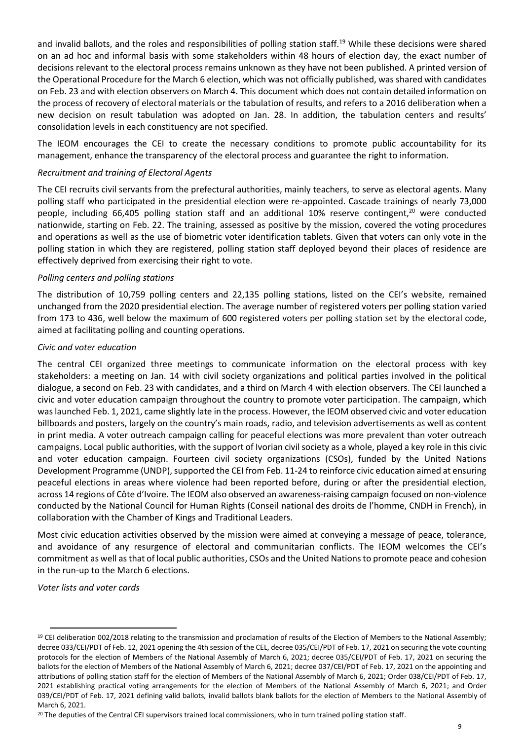and invalid ballots, and the roles and responsibilities of polling station staff.<sup>19</sup> While these decisions were shared on an ad hoc and informal basis with some stakeholders within 48 hours of election day, the exact number of decisions relevant to the electoral process remains unknown as they have not been published. A printed version of the Operational Procedure for the March 6 election, which was not officially published, was shared with candidates on Feb. 23 and with election observers on March 4. This document which does not contain detailed information on the process of recovery of electoral materials or the tabulation of results, and refers to a 2016 deliberation when a new decision on result tabulation was adopted on Jan. 28. In addition, the tabulation centers and results' consolidation levels in each constituency are not specified.

The IEOM encourages the CEI to create the necessary conditions to promote public accountability for its management, enhance the transparency of the electoral process and guarantee the right to information.

## *Recruitment and training of Electoral Agents*

The CEI recruits civil servants from the prefectural authorities, mainly teachers, to serve as electoral agents. Many polling staff who participated in the presidential election were re-appointed. Cascade trainings of nearly 73,000 people, including 66,405 polling station staff and an additional 10% reserve contingent,<sup>20</sup> were conducted nationwide, starting on Feb. 22. The training, assessed as positive by the mission, covered the voting procedures and operations as well as the use of biometric voter identification tablets. Given that voters can only vote in the polling station in which they are registered, polling station staff deployed beyond their places of residence are effectively deprived from exercising their right to vote.

#### *Polling centers and polling stations*

The distribution of 10,759 polling centers and 22,135 polling stations, listed on the CEI's website, remained unchanged from the 2020 presidential election. The average number of registered voters per polling station varied from 173 to 436, well below the maximum of 600 registered voters per polling station set by the electoral code, aimed at facilitating polling and counting operations.

#### *Civic and voter education*

The central CEI organized three meetings to communicate information on the electoral process with key stakeholders: a meeting on Jan. 14 with civil society organizations and political parties involved in the political dialogue, a second on Feb. 23 with candidates, and a third on March 4 with election observers. The CEI launched a civic and voter education campaign throughout the country to promote voter participation. The campaign, which was launched Feb. 1, 2021, came slightly late in the process. However, the IEOM observed civic and voter education billboards and posters, largely on the country's main roads, radio, and television advertisements as well as content in print media. A voter outreach campaign calling for peaceful elections was more prevalent than voter outreach campaigns. Local public authorities, with the support of Ivorian civil society as a whole, played a key role in this civic and voter education campaign. Fourteen civil society organizations (CSOs), funded by the United Nations Development Programme (UNDP), supported the CEI from Feb. 11-24 to reinforce civic education aimed at ensuring peaceful elections in areas where violence had been reported before, during or after the presidential election, across 14 regions of Côte d'Ivoire. The IEOM also observed an awareness-raising campaign focused on non-violence conducted by the National Council for Human Rights (Conseil national des droits de l'homme, CNDH in French), in collaboration with the Chamber of Kings and Traditional Leaders.

Most civic education activities observed by the mission were aimed at conveying a message of peace, tolerance, and avoidance of any resurgence of electoral and communitarian conflicts. The IEOM welcomes the CEI's commitment as well as that of local public authorities, CSOs and the United Nations to promote peace and cohesion in the run-up to the March 6 elections.

*Voter lists and voter cards*

<sup>&</sup>lt;sup>19</sup> CEI deliberation 002/2018 relating to the transmission and proclamation of results of the Election of Members to the National Assembly; decree 033/CEI/PDT of Feb. 12, 2021 opening the 4th session of the CEL, decree 035/CEI/PDT of Feb. 17, 2021 on securing the vote counting protocols for the election of Members of the National Assembly of March 6, 2021; decree 035/CEI/PDT of Feb. 17, 2021 on securing the ballots for the election of Members of the National Assembly of March 6, 2021; decree 037/CEI/PDT of Feb. 17, 2021 on the appointing and attributions of polling station staff for the election of Members of the National Assembly of March 6, 2021; Order 038/CEI/PDT of Feb. 17, 2021 establishing practical voting arrangements for the election of Members of the National Assembly of March 6, 2021; and Order 039/CEI/PDT of Feb. 17, 2021 defining valid ballots, invalid ballots blank ballots for the election of Members to the National Assembly of March 6, 2021.

<sup>&</sup>lt;sup>20</sup> The deputies of the Central CEI supervisors trained local commissioners, who in turn trained polling station staff.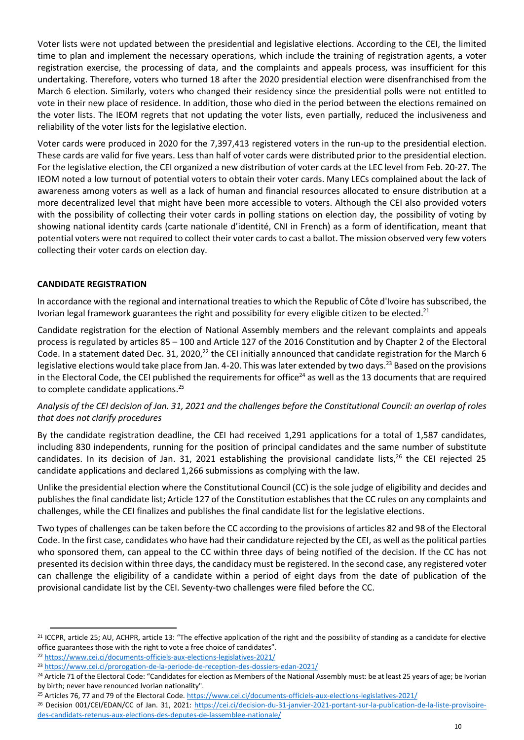Voter lists were not updated between the presidential and legislative elections. According to the CEI, the limited time to plan and implement the necessary operations, which include the training of registration agents, a voter registration exercise, the processing of data, and the complaints and appeals process, was insufficient for this undertaking. Therefore, voters who turned 18 after the 2020 presidential election were disenfranchised from the March 6 election. Similarly, voters who changed their residency since the presidential polls were not entitled to vote in their new place of residence. In addition, those who died in the period between the elections remained on the voter lists. The IEOM regrets that not updating the voter lists, even partially, reduced the inclusiveness and reliability of the voter lists for the legislative election.

Voter cards were produced in 2020 for the 7,397,413 registered voters in the run-up to the presidential election. These cards are valid for five years. Less than half of voter cards were distributed prior to the presidential election. For the legislative election, the CEI organized a new distribution of voter cards at the LEC level from Feb. 20-27. The IEOM noted a low turnout of potential voters to obtain their voter cards. Many LECs complained about the lack of awareness among voters as well as a lack of human and financial resources allocated to ensure distribution at a more decentralized level that might have been more accessible to voters. Although the CEI also provided voters with the possibility of collecting their voter cards in polling stations on election day, the possibility of voting by showing national identity cards (carte nationale d'identité, CNI in French) as a form of identification, meant that potential voters were not required to collect their voter cards to cast a ballot. The mission observed very few voters collecting their voter cards on election day.

## **CANDIDATE REGISTRATION**

In accordance with the regional and international treaties to which the Republic of Côte d'Ivoire hassubscribed, the Ivorian legal framework guarantees the right and possibility for every eligible citizen to be elected.<sup>21</sup>

Candidate registration for the election of National Assembly members and the relevant complaints and appeals process is regulated by articles 85 – 100 and Article 127 of the 2016 Constitution and by Chapter 2 of the Electoral Code. In a statement dated Dec. 31, 2020,<sup>22</sup> the CEI initially announced that candidate registration for the March 6 legislative elections would take place from Jan. 4-20. This was later extended by two days.<sup>23</sup> Based on the provisions in the Electoral Code, the CEI published the requirements for office $^{24}$  as well as the 13 documents that are required to complete candidate applications. 25

## *Analysis of the CEI decision of Jan. 31, 2021 and the challenges before the Constitutional Council: an overlap of roles that does not clarify procedures*

By the candidate registration deadline, the CEI had received 1,291 applications for a total of 1,587 candidates, including 830 independents, running for the position of principal candidates and the same number of substitute candidates. In its decision of Jan. 31, 2021 establishing the provisional candidate lists, <sup>26</sup> the CEI rejected 25 candidate applications and declared 1,266 submissions as complying with the law.

Unlike the presidential election where the Constitutional Council (CC) is the sole judge of eligibility and decides and publishes the final candidate list; Article 127 of the Constitution establishes that the CC rules on any complaints and challenges, while the CEI finalizes and publishes the final candidate list for the legislative elections.

Two types of challenges can be taken before the CC according to the provisions of articles 82 and 98 of the Electoral Code. In the first case, candidates who have had their candidature rejected by the CEI, as well as the political parties who sponsored them, can appeal to the CC within three days of being notified of the decision. If the CC has not presented its decision within three days, the candidacy must be registered. In the second case, any registered voter can challenge the eligibility of a candidate within a period of eight days from the date of publication of the provisional candidate list by the CEI. Seventy-two challenges were filed before the CC.

<sup>&</sup>lt;sup>21</sup> ICCPR, article 25; AU, ACHPR, article 13: "The effective application of the right and the possibility of standing as a candidate for elective office guarantees those with the right to vote a free choice of candidates".

<sup>22</sup> <https://www.cei.ci/documents-officiels-aux-elections-legislatives-2021/>

<sup>23</sup> <https://www.cei.ci/prorogation-de-la-periode-de-reception-des-dossiers-edan-2021/>

<sup>&</sup>lt;sup>24</sup> Article 71 of the Electoral Code: "Candidates for election as Members of the National Assembly must: be at least 25 years of age; be Ivorian by birth; never have renounced Ivorian nationality".

<sup>&</sup>lt;sup>25</sup> Articles 76, 77 and 79 of the Electoral Code[. https://www.cei.ci/documents-officiels-aux-elections-legislatives-2021/](https://www.cei.ci/documents-officiels-aux-elections-legislatives-2021/)

<sup>&</sup>lt;sup>26</sup> Decision 001/CEI/EDAN/CC of Jan. 31, 2021: [https://cei.ci/decision-du-31-janvier-2021-portant-sur-la-publication-de-la-liste-provisoire](https://cei.ci/decision-du-31-janvier-2021-portant-sur-la-publication-de-la-liste-provisoire-des-candidats-retenus-aux-elections-des-deputes-de-lassemblee-nationale/)[des-candidats-retenus-aux-elections-des-deputes-de-lassemblee-nationale/](https://cei.ci/decision-du-31-janvier-2021-portant-sur-la-publication-de-la-liste-provisoire-des-candidats-retenus-aux-elections-des-deputes-de-lassemblee-nationale/)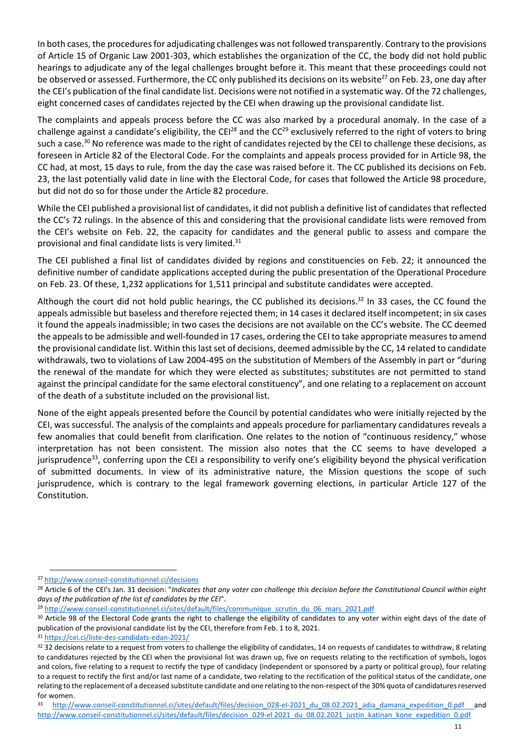In both cases, the procedures for adjudicating challenges was not followed transparently. Contrary to the provisions of Article 15 of Organic Law 2001-303, which establishes the organization of the CC, the body did not hold public hearings to adjudicate any of the legal challenges brought before it. This meant that these proceedings could not be observed or assessed. Furthermore, the CC only published its decisions on its website $^{27}$  on Feb. 23, one day after the CEI's publication of the final candidate list. Decisions were not notified in a systematic way. Of the 72 challenges, eight concerned cases of candidates rejected by the CEI when drawing up the provisional candidate list.

The complaints and appeals process before the CC was also marked by a procedural anomaly. In the case of a challenge against a candidate's eligibility, the CEI<sup>28</sup> and the CC<sup>29</sup> exclusively referred to the right of voters to bring such a case.<sup>30</sup> No reference was made to the right of candidates rejected by the CEI to challenge these decisions, as foreseen in Article 82 of the Electoral Code. For the complaints and appeals process provided for in Article 98, the CC had, at most, 15 days to rule, from the day the case was raised before it. The CC published its decisions on Feb. 23, the last potentially valid date in line with the Electoral Code, for cases that followed the Article 98 procedure, but did not do so for those under the Article 82 procedure.

While the CEI published a provisional list of candidates, it did not publish a definitive list of candidates that reflected the CC's 72 rulings. In the absence of this and considering that the provisional candidate lists were removed from the CEI's website on Feb. 22, the capacity for candidates and the general public to assess and compare the provisional and final candidate lists is very limited.<sup>31</sup>

The CEI published a final list of candidates divided by regions and constituencies on Feb. 22; it announced the definitive number of candidate applications accepted during the public presentation of the Operational Procedure on Feb. 23. Of these, 1,232 applications for 1,511 principal and substitute candidates were accepted.

Although the court did not hold public hearings, the CC published its decisions.<sup>32</sup> In 33 cases, the CC found the appeals admissible but baseless and therefore rejected them; in 14 cases it declared itself incompetent; in six cases it found the appeals inadmissible; in two cases the decisions are not available on the CC's website. The CC deemed the appeals to be admissible and well-founded in 17 cases, ordering the CEI to take appropriate measures to amend the provisional candidate list. Within this last set of decisions, deemed admissible by the CC, 14 related to candidate withdrawals, two to violations of Law 2004-495 on the substitution of Members of the Assembly in part or "during the renewal of the mandate for which they were elected as substitutes; substitutes are not permitted to stand against the principal candidate for the same electoral constituency", and one relating to a replacement on account of the death of a substitute included on the provisional list.

None of the eight appeals presented before the Council by potential candidates who were initially rejected by the CEI, was successful. The analysis of the complaints and appeals procedure for parliamentary candidatures reveals a few anomalies that could benefit from clarification. One relates to the notion of "continuous residency," whose interpretation has not been consistent. The mission also notes that the CC seems to have developed a jurisprudence<sup>33</sup>, conferring upon the CEI a responsibility to verify one's eligibility beyond the physical verification of submitted documents. In view of its administrative nature, the Mission questions the scope of such jurisprudence, which is contrary to the legal framework governing elections, in particular Article 127 of the Constitution.

<sup>27</sup> <http://www.conseil-constitutionnel.ci/decisions>

<sup>28</sup> Article 6 of the CEI's Jan. 31 decision: "*Indicates that any voter can challenge this decision before the Constitutional Council within eight days of the publication of the list of candidates by the CEI*".

<sup>&</sup>lt;sup>29</sup> [http://www.conseil-constitutionnel.ci/sites/default/files/communique\\_scrutin\\_du\\_06\\_mars\\_2021.pdf](http://www.conseil-constitutionnel.ci/sites/default/files/communique_scrutin_du_06_mars_2021.pdf)

<sup>&</sup>lt;sup>30</sup> Article 98 of the Electoral Code grants the right to challenge the eligibility of candidates to any voter within eight days of the date of publication of the provisional candidate list by the CEI, therefore from Feb. 1 to 8, 2021.

<sup>31</sup> <https://cei.ci/liste-des-candidats-edan-2021/>

<sup>32</sup> decisions relate to a request from voters to challenge the eligibility of candidates, 14 on requests of candidates to withdraw, 8 relating to candidatures rejected by the CEI when the provisional list was drawn up, five on requests relating to the rectification of symbols, logos and colors, five relating to a request to rectify the type of candidacy (independent or sponsored by a party or political group), four relating to a request to rectify the first and/or last name of a candidate, two relating to the rectification of the political status of the candidate, one relating to the replacement of a deceased substitute candidate and one relating to the non-respect of the 30% quota of candidatures reserved for women.

<sup>33</sup> http://www.conseil-constitutionnel.ci/sites/default/files/decision 028-el-2021 du 08.02.2021 adia damana expedition 0.pdf and http://www.conseil-constitutionnel.ci/sites/default/files/decision 029-el 2021 du 08.02.2021 justin katinan kone expedition 0.pdf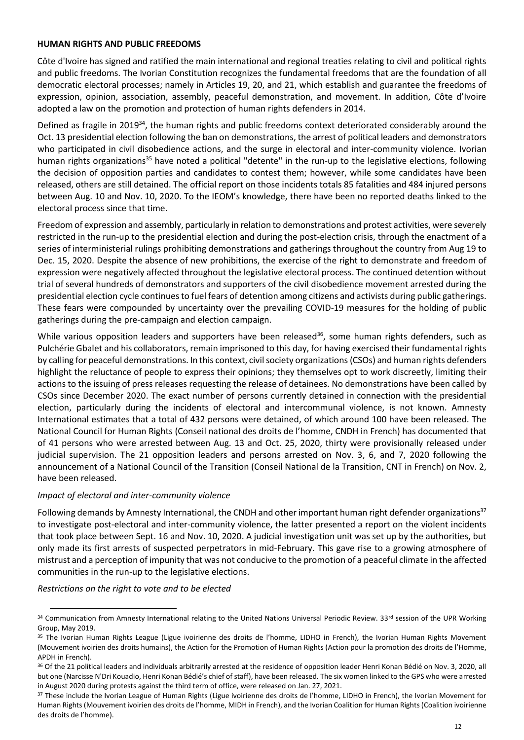#### **HUMAN RIGHTS AND PUBLIC FREEDOMS**

Côte d'Ivoire has signed and ratified the main international and regional treaties relating to civil and political rights and public freedoms. The Ivorian Constitution recognizes the fundamental freedoms that are the foundation of all democratic electoral processes; namely in Articles 19, 20, and 21, which establish and guarantee the freedoms of expression, opinion, association, assembly, peaceful demonstration, and movement. In addition, Côte d'Ivoire adopted a law on the promotion and protection of human rights defenders in 2014.

Defined as fragile in 2019<sup>34</sup>, the human rights and public freedoms context deteriorated considerably around the Oct. 13 presidential election following the ban on demonstrations, the arrest of political leaders and demonstrators who participated in civil disobedience actions, and the surge in electoral and inter-community violence. Ivorian human rights organizations<sup>35</sup> have noted a political "detente" in the run-up to the legislative elections, following the decision of opposition parties and candidates to contest them; however, while some candidates have been released, others are still detained. The official report on those incidents totals 85 fatalities and 484 injured persons between Aug. 10 and Nov. 10, 2020. To the IEOM's knowledge, there have been no reported deaths linked to the electoral process since that time.

Freedom of expression and assembly, particularly in relation to demonstrations and protest activities, were severely restricted in the run-up to the presidential election and during the post-election crisis, through the enactment of a series of interministerial rulings prohibiting demonstrations and gatherings throughout the country from Aug 19 to Dec. 15, 2020. Despite the absence of new prohibitions, the exercise of the right to demonstrate and freedom of expression were negatively affected throughout the legislative electoral process. The continued detention without trial of several hundreds of demonstrators and supporters of the civil disobedience movement arrested during the presidential election cycle continues to fuel fears of detention among citizens and activists during public gatherings. These fears were compounded by uncertainty over the prevailing COVID-19 measures for the holding of public gatherings during the pre-campaign and election campaign.

While various opposition leaders and supporters have been released<sup>36</sup>, some human rights defenders, such as Pulchérie Gbalet and his collaborators, remain imprisoned to this day, for having exercised their fundamental rights by calling for peaceful demonstrations. In this context, civil society organizations (CSOs) and human rights defenders highlight the reluctance of people to express their opinions; they themselves opt to work discreetly, limiting their actions to the issuing of press releases requesting the release of detainees. No demonstrations have been called by CSOs since December 2020. The exact number of persons currently detained in connection with the presidential election, particularly during the incidents of electoral and intercommunal violence, is not known. Amnesty International estimates that a total of 432 persons were detained, of which around 100 have been released. The National Council for Human Rights (Conseil national des droits de l'homme, CNDH in French) has documented that of 41 persons who were arrested between Aug. 13 and Oct. 25, 2020, thirty were provisionally released under judicial supervision. The 21 opposition leaders and persons arrested on Nov. 3, 6, and 7, 2020 following the announcement of a National Council of the Transition (Conseil National de la Transition, CNT in French) on Nov. 2, have been released.

#### *Impact of electoral and inter-community violence*

Following demands by Amnesty International, the CNDH and other important human right defender organizations<sup>37</sup> to investigate post-electoral and inter-community violence, the latter presented a report on the violent incidents that took place between Sept. 16 and Nov. 10, 2020. A judicial investigation unit was set up by the authorities, but only made its first arrests of suspected perpetrators in mid-February. This gave rise to a growing atmosphere of mistrust and a perception of impunity that was not conducive to the promotion of a peaceful climate in the affected communities in the run-up to the legislative elections.

#### *Restrictions on the right to vote and to be elected*

<sup>34</sup> Communication from Amnesty International relating to the United Nations Universal Periodic Review. 33rd session of the UPR Working Group, May 2019.

<sup>35</sup> The Ivorian Human Rights League (Ligue ivoirienne des droits de l'homme, LIDHO in French), the Ivorian Human Rights Movement (Mouvement ivoirien des droits humains), the Action for the Promotion of Human Rights (Action pour la promotion des droits de l'Homme, APDH in French).

<sup>36</sup> Of the 21 political leaders and individuals arbitrarily arrested at the residence of opposition leader Henri Konan Bédié on Nov. 3, 2020, all but one (Narcisse N'Dri Kouadio, Henri Konan Bédié's chief of staff), have been released. The six women linked to the GPS who were arrested in August 2020 during protests against the third term of office, were released on Jan. 27, 2021.

<sup>37</sup> These include the Ivorian League of Human Rights (Ligue ivoirienne des droits de l'homme, LIDHO in French), the Ivorian Movement for Human Rights (Mouvement ivoirien des droits de l'homme, MIDH in French), and the Ivorian Coalition for Human Rights (Coalition ivoirienne des droits de l'homme).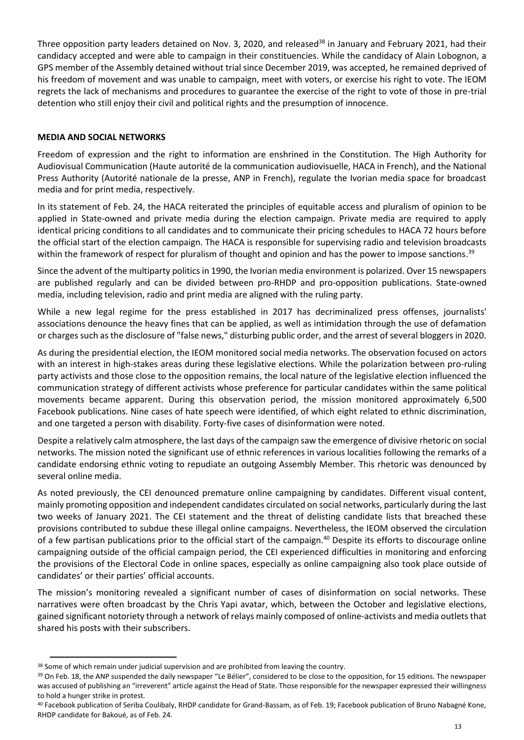Three opposition party leaders detained on Nov. 3, 2020, and released<sup>38</sup> in January and February 2021, had their candidacy accepted and were able to campaign in their constituencies. While the candidacy of Alain Lobognon, a GPS member of the Assembly detained without trial since December 2019, was accepted, he remained deprived of his freedom of movement and was unable to campaign, meet with voters, or exercise his right to vote. The IEOM regrets the lack of mechanisms and procedures to guarantee the exercise of the right to vote of those in pre-trial detention who still enjoy their civil and political rights and the presumption of innocence.

## **MEDIA AND SOCIAL NETWORKS**

Freedom of expression and the right to information are enshrined in the Constitution. The High Authority for Audiovisual Communication (Haute autorité de la communication audiovisuelle, HACA in French), and the National Press Authority (Autorité nationale de la presse, ANP in French), regulate the Ivorian media space for broadcast media and for print media, respectively.

In its statement of Feb. 24, the HACA reiterated the principles of equitable access and pluralism of opinion to be applied in State-owned and private media during the election campaign. Private media are required to apply identical pricing conditions to all candidates and to communicate their pricing schedules to HACA 72 hours before the official start of the election campaign. The HACA is responsible for supervising radio and television broadcasts within the framework of respect for pluralism of thought and opinion and has the power to impose sanctions.<sup>39</sup>

Since the advent of the multiparty politics in 1990, the Ivorian media environment is polarized. Over 15 newspapers are published regularly and can be divided between pro-RHDP and pro-opposition publications. State-owned media, including television, radio and print media are aligned with the ruling party.

While a new legal regime for the press established in 2017 has decriminalized press offenses, journalists' associations denounce the heavy fines that can be applied, as well as intimidation through the use of defamation or charges such as the disclosure of "false news," disturbing public order, and the arrest of several bloggers in 2020.

As during the presidential election, the IEOM monitored social media networks. The observation focused on actors with an interest in high-stakes areas during these legislative elections. While the polarization between pro-ruling party activists and those close to the opposition remains, the local nature of the legislative election influenced the communication strategy of different activists whose preference for particular candidates within the same political movements became apparent. During this observation period, the mission monitored approximately 6,500 Facebook publications. Nine cases of hate speech were identified, of which eight related to ethnic discrimination, and one targeted a person with disability. Forty-five cases of disinformation were noted.

Despite a relatively calm atmosphere, the last days of the campaign saw the emergence of divisive rhetoric on social networks. The mission noted the significant use of ethnic references in various localities following the remarks of a candidate endorsing ethnic voting to repudiate an outgoing Assembly Member. This rhetoric was denounced by several online media.

As noted previously, the CEI denounced premature online campaigning by candidates. Different visual content, mainly promoting opposition and independent candidates circulated on social networks, particularly during the last two weeks of January 2021. The CEI statement and the threat of delisting candidate lists that breached these provisions contributed to subdue these illegal online campaigns. Nevertheless, the IEOM observed the circulation of a few partisan publications prior to the official start of the campaign.<sup>40</sup> Despite its efforts to discourage online campaigning outside of the official campaign period, the CEI experienced difficulties in monitoring and enforcing the provisions of the Electoral Code in online spaces, especially as online campaigning also took place outside of candidates' or their parties' official accounts.

The mission's monitoring revealed a significant number of cases of disinformation on social networks. These narratives were often broadcast by the Chris Yapi avatar, which, between the October and legislative elections, gained significant notoriety through a network of relays mainly composed of online-activists and media outlets that shared his posts with their subscribers.

<sup>38</sup> Some of which remain under judicial supervision and are prohibited from leaving the country.

<sup>&</sup>lt;sup>39</sup> On Feb. 18, the ANP suspended the daily newspaper "Le Bélier", considered to be close to the opposition, for 15 editions. The newspaper was accused of publishing an "irreverent" article against the Head of State. Those responsible for the newspaper expressed their willingness to hold a hunger strike in protest.

<sup>40</sup> Facebook publication of Seriba Coulibaly, RHDP candidate for Grand-Bassam, as of Feb. 19; Facebook publication of Bruno Nabagné Kone, RHDP candidate for Bakoué, as of Feb. 24.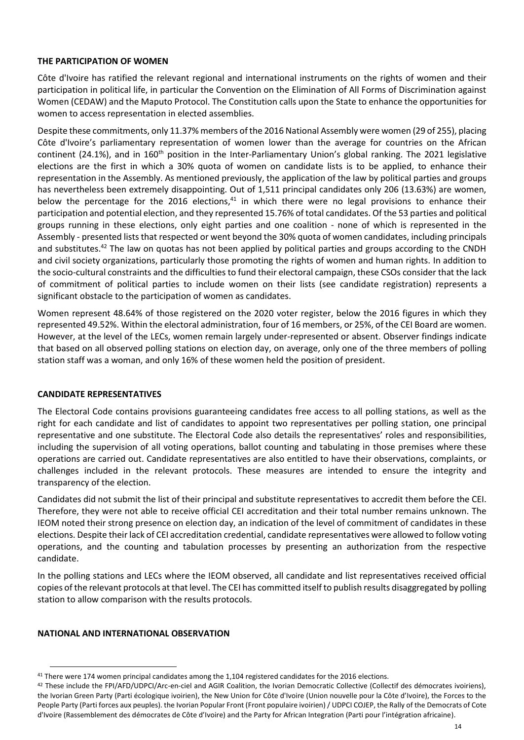#### **THE PARTICIPATION OF WOMEN**

Côte d'Ivoire has ratified the relevant regional and international instruments on the rights of women and their participation in political life, in particular the Convention on the Elimination of All Forms of Discrimination against Women (CEDAW) and the Maputo Protocol. The Constitution calls upon the State to enhance the opportunities for women to access representation in elected assemblies.

Despite these commitments, only 11.37% members of the 2016 National Assembly were women (29 of 255), placing Côte d'Ivoire's parliamentary representation of women lower than the average for countries on the African continent (24.1%), and in 160<sup>th</sup> position in the Inter-Parliamentary Union's global ranking. The 2021 legislative elections are the first in which a 30% quota of women on candidate lists is to be applied, to enhance their representation in the Assembly. As mentioned previously, the application of the law by political parties and groups has nevertheless been extremely disappointing. Out of 1,511 principal candidates only 206 (13.63%) are women, below the percentage for the 2016 elections,<sup>41</sup> in which there were no legal provisions to enhance their participation and potential election, and they represented 15.76% of total candidates. Of the 53 parties and political groups running in these elections, only eight parties and one coalition - none of which is represented in the Assembly - presented lists that respected or went beyond the 30% quota of women candidates, including principals and substitutes.<sup>42</sup> The law on quotas has not been applied by political parties and groups according to the CNDH and civil society organizations, particularly those promoting the rights of women and human rights. In addition to the socio-cultural constraints and the difficulties to fund their electoral campaign, these CSOs consider that the lack of commitment of political parties to include women on their lists (see candidate registration) represents a significant obstacle to the participation of women as candidates.

Women represent 48.64% of those registered on the 2020 voter register, below the 2016 figures in which they represented 49.52%. Within the electoral administration, four of 16 members, or 25%, of the CEI Board are women. However, at the level of the LECs, women remain largely under-represented or absent. Observer findings indicate that based on all observed polling stations on election day, on average, only one of the three members of polling station staff was a woman, and only 16% of these women held the position of president.

#### **CANDIDATE REPRESENTATIVES**

The Electoral Code contains provisions guaranteeing candidates free access to all polling stations, as well as the right for each candidate and list of candidates to appoint two representatives per polling station, one principal representative and one substitute. The Electoral Code also details the representatives' roles and responsibilities, including the supervision of all voting operations, ballot counting and tabulating in those premises where these operations are carried out. Candidate representatives are also entitled to have their observations, complaints, or challenges included in the relevant protocols. These measures are intended to ensure the integrity and transparency of the election.

Candidates did not submit the list of their principal and substitute representatives to accredit them before the CEI. Therefore, they were not able to receive official CEI accreditation and their total number remains unknown. The IEOM noted their strong presence on election day, an indication of the level of commitment of candidates in these elections. Despite their lack of CEI accreditation credential, candidate representatives were allowed to follow voting operations, and the counting and tabulation processes by presenting an authorization from the respective candidate.

In the polling stations and LECs where the IEOM observed, all candidate and list representatives received official copies of the relevant protocols at that level. The CEI has committed itself to publish results disaggregated by polling station to allow comparison with the results protocols.

#### **NATIONAL AND INTERNATIONAL OBSERVATION**

<sup>&</sup>lt;sup>41</sup> There were 174 women principal candidates among the 1,104 registered candidates for the 2016 elections.

<sup>42</sup> These include the FPI/AFD/UDPCI/Arc-en-ciel and AGIR Coalition, the Ivorian Democratic Collective (Collectif des démocrates ivoiriens), the Ivorian Green Party (Parti écologique ivoirien), the New Union for Côte d'Ivoire (Union nouvelle pour la Côte d'Ivoire), the Forces to the People Party (Parti forces aux peuples). the Ivorian Popular Front (Front populaire ivoirien) / UDPCI COJEP, the Rally of the Democrats of Cote d'Ivoire (Rassemblement des démocrates de Côte d'Ivoire) and the Party for African Integration (Parti pour l'intégration africaine).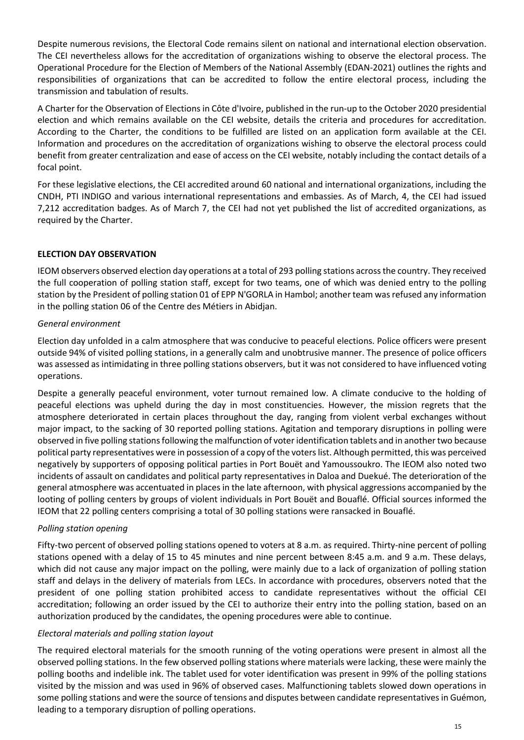Despite numerous revisions, the Electoral Code remains silent on national and international election observation. The CEI nevertheless allows for the accreditation of organizations wishing to observe the electoral process. The Operational Procedure for the Election of Members of the National Assembly (EDAN-2021) outlines the rights and responsibilities of organizations that can be accredited to follow the entire electoral process, including the transmission and tabulation of results.

A Charter for the Observation of Elections in Côte d'Ivoire, published in the run-up to the October 2020 presidential election and which remains available on the CEI website, details the criteria and procedures for accreditation. According to the Charter, the conditions to be fulfilled are listed on an application form available at the CEI. Information and procedures on the accreditation of organizations wishing to observe the electoral process could benefit from greater centralization and ease of access on the CEI website, notably including the contact details of a focal point.

For these legislative elections, the CEI accredited around 60 national and international organizations, including the CNDH, PTI INDIGO and various international representations and embassies. As of March, 4, the CEI had issued 7,212 accreditation badges. As of March 7, the CEI had not yet published the list of accredited organizations, as required by the Charter.

## **ELECTION DAY OBSERVATION**

IEOM observers observed election day operations at a total of 293 polling stations across the country. They received the full cooperation of polling station staff, except for two teams, one of which was denied entry to the polling station by the President of polling station 01 of EPP N'GORLA in Hambol; another team was refused any information in the polling station 06 of the Centre des Métiers in Abidjan.

## *General environment*

Election day unfolded in a calm atmosphere that was conducive to peaceful elections. Police officers were present outside 94% of visited polling stations, in a generally calm and unobtrusive manner. The presence of police officers was assessed as intimidating in three polling stations observers, but it was not considered to have influenced voting operations.

Despite a generally peaceful environment, voter turnout remained low. A climate conducive to the holding of peaceful elections was upheld during the day in most constituencies. However, the mission regrets that the atmosphere deteriorated in certain places throughout the day, ranging from violent verbal exchanges without major impact, to the sacking of 30 reported polling stations. Agitation and temporary disruptions in polling were observed in five polling stations following the malfunction of voter identification tablets and in another two because political party representatives were in possession of a copy of the voters list. Although permitted, this was perceived negatively by supporters of opposing political parties in Port Bouët and Yamoussoukro. The IEOM also noted two incidents of assault on candidates and political party representatives in Daloa and Duekué. The deterioration of the general atmosphere was accentuated in places in the late afternoon, with physical aggressions accompanied by the looting of polling centers by groups of violent individuals in Port Bouët and Bouaflé. Official sources informed the IEOM that 22 polling centers comprising a total of 30 polling stations were ransacked in Bouaflé.

## *Polling station opening*

Fifty-two percent of observed polling stations opened to voters at 8 a.m. as required. Thirty-nine percent of polling stations opened with a delay of 15 to 45 minutes and nine percent between 8:45 a.m. and 9 a.m. These delays, which did not cause any major impact on the polling, were mainly due to a lack of organization of polling station staff and delays in the delivery of materials from LECs. In accordance with procedures, observers noted that the president of one polling station prohibited access to candidate representatives without the official CEI accreditation; following an order issued by the CEI to authorize their entry into the polling station, based on an authorization produced by the candidates, the opening procedures were able to continue.

## *Electoral materials and polling station layout*

The required electoral materials for the smooth running of the voting operations were present in almost all the observed polling stations. In the few observed polling stations where materials were lacking, these were mainly the polling booths and indelible ink. The tablet used for voter identification was present in 99% of the polling stations visited by the mission and was used in 96% of observed cases. Malfunctioning tablets slowed down operations in some polling stations and were the source of tensions and disputes between candidate representatives in Guémon, leading to a temporary disruption of polling operations.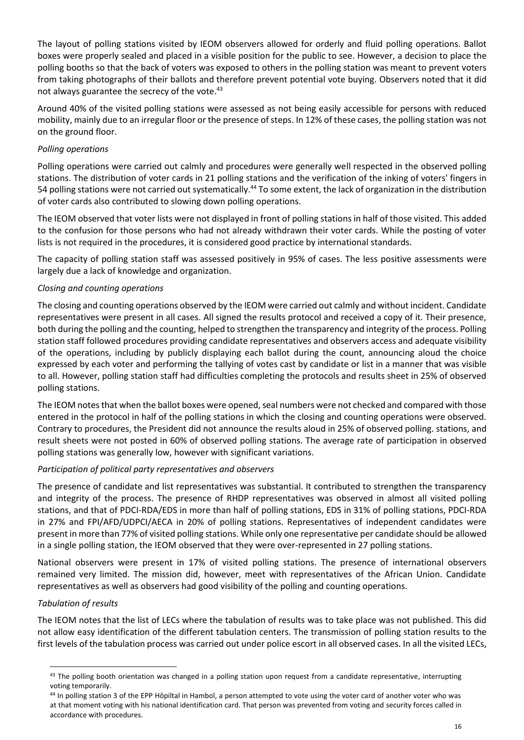The layout of polling stations visited by IEOM observers allowed for orderly and fluid polling operations. Ballot boxes were properly sealed and placed in a visible position for the public to see. However, a decision to place the polling booths so that the back of voters was exposed to others in the polling station was meant to prevent voters from taking photographs of their ballots and therefore prevent potential vote buying. Observers noted that it did not always guarantee the secrecy of the vote.<sup>43</sup>

Around 40% of the visited polling stations were assessed as not being easily accessible for persons with reduced mobility, mainly due to an irregular floor or the presence of steps. In 12% of these cases, the polling station was not on the ground floor.

## *Polling operations*

Polling operations were carried out calmly and procedures were generally well respected in the observed polling stations. The distribution of voter cards in 21 polling stations and the verification of the inking of voters' fingers in 54 polling stations were not carried out systematically.<sup>44</sup> To some extent, the lack of organization in the distribution of voter cards also contributed to slowing down polling operations.

The IEOM observed that voter lists were not displayed in front of polling stations in half of those visited. This added to the confusion for those persons who had not already withdrawn their voter cards. While the posting of voter lists is not required in the procedures, it is considered good practice by international standards.

The capacity of polling station staff was assessed positively in 95% of cases. The less positive assessments were largely due a lack of knowledge and organization.

## *Closing and counting operations*

The closing and counting operations observed by the IEOM were carried out calmly and without incident. Candidate representatives were present in all cases. All signed the results protocol and received a copy of it. Their presence, both during the polling and the counting, helped to strengthen the transparency and integrity of the process. Polling station staff followed procedures providing candidate representatives and observers access and adequate visibility of the operations, including by publicly displaying each ballot during the count, announcing aloud the choice expressed by each voter and performing the tallying of votes cast by candidate or list in a manner that was visible to all. However, polling station staff had difficulties completing the protocols and results sheet in 25% of observed polling stations.

The IEOM notes that when the ballot boxes were opened, seal numbers were not checked and compared with those entered in the protocol in half of the polling stations in which the closing and counting operations were observed. Contrary to procedures, the President did not announce the results aloud in 25% of observed polling. stations, and result sheets were not posted in 60% of observed polling stations. The average rate of participation in observed polling stations was generally low, however with significant variations.

## *Participation of political party representatives and observers*

The presence of candidate and list representatives was substantial. It contributed to strengthen the transparency and integrity of the process. The presence of RHDP representatives was observed in almost all visited polling stations, and that of PDCI-RDA/EDS in more than half of polling stations, EDS in 31% of polling stations, PDCI-RDA in 27% and FPI/AFD/UDPCI/AECA in 20% of polling stations. Representatives of independent candidates were present in more than 77% of visited polling stations. While only one representative per candidate should be allowed in a single polling station, the IEOM observed that they were over-represented in 27 polling stations.

National observers were present in 17% of visited polling stations. The presence of international observers remained very limited. The mission did, however, meet with representatives of the African Union. Candidate representatives as well as observers had good visibility of the polling and counting operations.

# *Tabulation of results*

The IEOM notes that the list of LECs where the tabulation of results was to take place was not published. This did not allow easy identification of the different tabulation centers. The transmission of polling station results to the first levels of the tabulation process was carried out under police escort in all observed cases. In all the visited LECs,

<sup>43</sup> The polling booth orientation was changed in a polling station upon request from a candidate representative, interrupting voting temporarily.

<sup>44</sup> In polling station 3 of the EPP Hôpiltal in Hambol, a person attempted to vote using the voter card of another voter who was at that moment voting with his national identification card. That person was prevented from voting and security forces called in accordance with procedures.